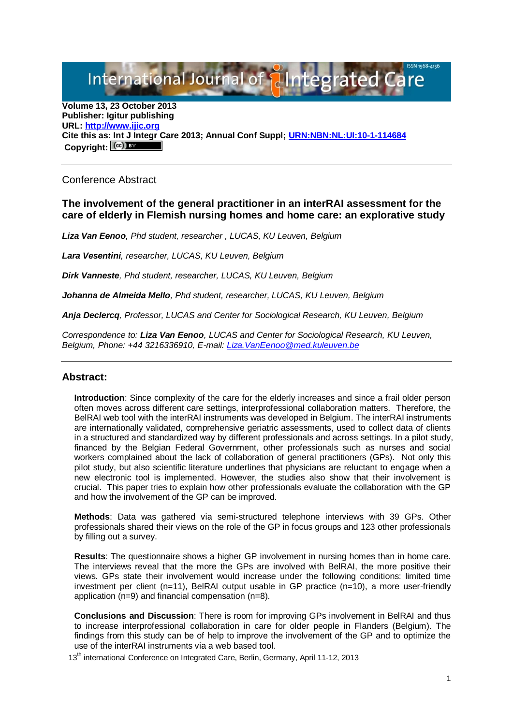International Journal of aIntegrated

**Volume 13, 23 October 2013 Publisher: Igitur publishing URL[: http://www.ijic.org](http://www.ijic.org/) Cite this as: Int J Integr Care 2013; Annual Conf Suppl; [URN:NBN:NL:UI:10-1-114684](http://persistent-identifier.nl/?identifier=URN:NBN:NL:UI:10-1-114684)** Copyright:  $(cc)$ 

## Conference Abstract

## **The involvement of the general practitioner in an interRAI assessment for the care of elderly in Flemish nursing homes and home care: an explorative study**

*Liza Van Eenoo, Phd student, researcher , LUCAS, KU Leuven, Belgium*

*Lara Vesentini, researcher, LUCAS, KU Leuven, Belgium*

*Dirk Vanneste, Phd student, researcher, LUCAS, KU Leuven, Belgium*

*Johanna de Almeida Mello, Phd student, researcher, LUCAS, KU Leuven, Belgium*

*Anja Declercq, Professor, LUCAS and Center for Sociological Research, KU Leuven, Belgium*

*Correspondence to: Liza Van Eenoo, LUCAS and Center for Sociological Research, KU Leuven, Belgium, Phone: +44 3216336910, E-mail: [Liza.VanEenoo@med.kuleuven.be](mailto:Liza.VanEenoo@med.kuleuven.be)*

## **Abstract:**

**Introduction**: Since complexity of the care for the elderly increases and since a frail older person often moves across different care settings, interprofessional collaboration matters. Therefore, the BelRAI web tool with the interRAI instruments was developed in Belgium. The interRAI instruments are internationally validated, comprehensive geriatric assessments, used to collect data of clients in a structured and standardized way by different professionals and across settings. In a pilot study, financed by the Belgian Federal Government, other professionals such as nurses and social workers complained about the lack of collaboration of general practitioners (GPs). Not only this pilot study, but also scientific literature underlines that physicians are reluctant to engage when a new electronic tool is implemented. However, the studies also show that their involvement is crucial. This paper tries to explain how other professionals evaluate the collaboration with the GP and how the involvement of the GP can be improved.

**Methods**: Data was gathered via semi-structured telephone interviews with 39 GPs. Other professionals shared their views on the role of the GP in focus groups and 123 other professionals by filling out a survey.

**Results**: The questionnaire shows a higher GP involvement in nursing homes than in home care. The interviews reveal that the more the GPs are involved with BelRAI, the more positive their views. GPs state their involvement would increase under the following conditions: limited time investment per client  $(n=11)$ , BelRAI output usable in GP practice  $(n=10)$ , a more user-friendly application (n=9) and financial compensation (n=8).

**Conclusions and Discussion**: There is room for improving GPs involvement in BelRAI and thus to increase interprofessional collaboration in care for older people in Flanders (Belgium). The findings from this study can be of help to improve the involvement of the GP and to optimize the use of the interRAI instruments via a web based tool.

13<sup>th</sup> international Conference on Integrated Care, Berlin, Germany, April 11-12, 2013